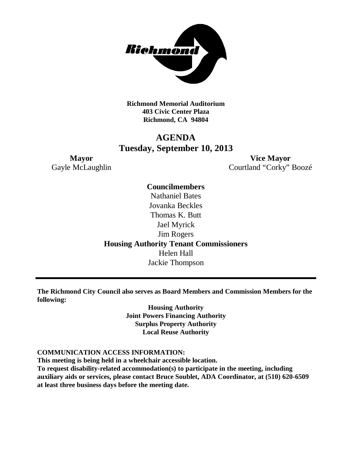

**Richmond Memorial Auditorium 403 Civic Center Plaza Richmond, CA 94804**

# **AGENDA Tuesday, September 10, 2013**

**Mayor Vice Mayor** Gayle McLaughlin Courtland "Corky" Boozé

> **Councilmembers** Nathaniel Bates Jovanka Beckles Thomas K. Butt Jael Myrick Jim Rogers **Housing Authority Tenant Commissioners** Helen Hall Jackie Thompson

**The Richmond City Council also serves as Board Members and Commission Members for the following:**

> **Housing Authority Joint Powers Financing Authority Surplus Property Authority Local Reuse Authority**

#### **COMMUNICATION ACCESS INFORMATION:**

**This meeting is being held in a wheelchair accessible location.**

**To request disability-related accommodation(s) to participate in the meeting, including auxiliary aids or services, please contact Bruce Soublet, ADA Coordinator, at (510) 620-6509 at least three business days before the meeting date.**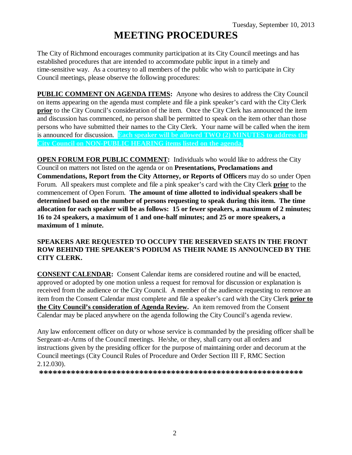# **MEETING PROCEDURES**

The City of Richmond encourages community participation at its City Council meetings and has established procedures that are intended to accommodate public input in a timely and time-sensitive way. As a courtesy to all members of the public who wish to participate in City Council meetings, please observe the following procedures:

**PUBLIC COMMENT ON AGENDA ITEMS:** Anyone who desires to address the City Council on items appearing on the agenda must complete and file a pink speaker's card with the City Clerk **prior** to the City Council's consideration of the item. Once the City Clerk has announced the item and discussion has commenced, no person shall be permitted to speak on the item other than those persons who have submitted their names to the City Clerk. Your name will be called when the item is announced for discussion. **Each speaker will be allowed TWO (2) MINUTES to address the City Council on NON-PUBLIC HEARING items listed on the agenda.**

**OPEN FORUM FOR PUBLIC COMMENT:** Individuals who would like to address the City Council on matters not listed on the agenda or on **Presentations, Proclamations and Commendations, Report from the City Attorney, or Reports of Officers** may do so under Open Forum. All speakers must complete and file a pink speaker's card with the City Clerk **prior** to the commencement of Open Forum. **The amount of time allotted to individual speakers shall be determined based on the number of persons requesting to speak during this item. The time allocation for each speaker will be as follows: 15 or fewer speakers, a maximum of 2 minutes; 16 to 24 speakers, a maximum of 1 and one-half minutes; and 25 or more speakers, a maximum of 1 minute.**

#### **SPEAKERS ARE REQUESTED TO OCCUPY THE RESERVED SEATS IN THE FRONT ROW BEHIND THE SPEAKER'S PODIUM AS THEIR NAME IS ANNOUNCED BY THE CITY CLERK.**

**CONSENT CALENDAR:** Consent Calendar items are considered routine and will be enacted, approved or adopted by one motion unless a request for removal for discussion or explanation is received from the audience or the City Council. A member of the audience requesting to remove an item from the Consent Calendar must complete and file a speaker's card with the City Clerk **prior to the City Council's consideration of Agenda Review.** An item removed from the Consent Calendar may be placed anywhere on the agenda following the City Council's agenda review.

Any law enforcement officer on duty or whose service is commanded by the presiding officer shall be Sergeant-at-Arms of the Council meetings. He/she, or they, shall carry out all orders and instructions given by the presiding officer for the purpose of maintaining order and decorum at the Council meetings (City Council Rules of Procedure and Order Section III F, RMC Section 2.12.030).

**\*\*\*\*\*\*\*\*\*\*\*\*\*\*\*\*\*\*\*\*\*\*\*\*\*\*\*\*\*\*\*\*\*\*\*\*\*\*\*\*\*\*\*\*\*\*\*\*\*\*\*\*\*\*\*\*\*\***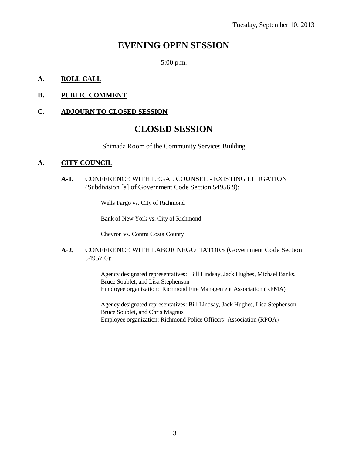# **EVENING OPEN SESSION**

5:00 p.m.

#### **A. ROLL CALL**

### **B. PUBLIC COMMENT**

#### **C. ADJOURN TO CLOSED SESSION**

## **CLOSED SESSION**

Shimada Room of the Community Services Building

#### **A. CITY COUNCIL**

**A-1.** CONFERENCE WITH LEGAL COUNSEL - EXISTING LITIGATION (Subdivision [a] of Government Code Section 54956.9):

Wells Fargo vs. City of Richmond

Bank of New York vs. City of Richmond

Chevron vs. Contra Costa County

#### **A-2.** CONFERENCE WITH LABOR NEGOTIATORS (Government Code Section 54957.6):

Agency designated representatives: Bill Lindsay, Jack Hughes, Michael Banks, Bruce Soublet, and Lisa Stephenson Employee organization: Richmond Fire Management Association (RFMA)

Agency designated representatives: Bill Lindsay, Jack Hughes, Lisa Stephenson, Bruce Soublet, and Chris Magnus Employee organization: Richmond Police Officers' Association (RPOA)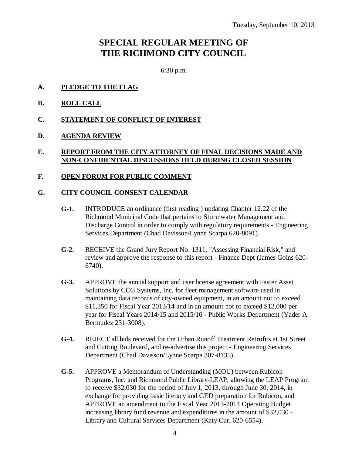# **SPECIAL REGULAR MEETING OF THE RICHMOND CITY COUNCIL**

6:30 p.m.

- **A. PLEDGE TO THE FLAG**
- **B. ROLL CALL**
- **C. STATEMENT OF CONFLICT OF INTEREST**
- **D. AGENDA REVIEW**

#### **E. REPORT FROM THE CITY ATTORNEY OF FINAL DECISIONS MADE AND NON-CONFIDENTIAL DISCUSSIONS HELD DURING CLOSED SESSION**

#### **F. OPEN FORUM FOR PUBLIC COMMENT**

#### **G. CITY COUNCIL CONSENT CALENDAR**

- **G-1.** INTRODUCE an ordinance (first reading ) updating Chapter 12.22 of the Richmond Municipal Code that pertains to Stormwater Management and Discharge Control in order to comply with regulatory requirements - Engineering Services Department (Chad Davisson/Lynne Scarpa 620-8091).
- **G-2.** RECEIVE the Grand Jury Report No. 1311, "Assessing Financial Risk," and review and approve the response to this report - Finance Dept (James Goins 620- 6740).
- **G-3.** APPROVE the annual support and user license agreement with Faster Asset Solutions by CCG Systems, Inc. for fleet management software used in maintaining data records of city-owned equipment, in an amount not to exceed \$11,350 for Fiscal Year 2013/14 and in an amount not to exceed \$12,000 per year for Fiscal Years 2014/15 and 2015/16 - Public Works Department (Yader A. Bermudez 231-3008).
- **G-4.** REJECT all bids received for the Urban Runoff Treatment Retrofits at 1st Street and Cutting Boulevard, and re-advertise this project - Engineering Services Department (Chad Davisson/Lynne Scarpa 307-8135).
- **G-5.** APPROVE a Memorandum of Understanding (MOU) between Rubicon Programs, Inc. and Richmond Public Library-LEAP, allowing the LEAP Program to receive \$32,030 for the period of July 1, 2013, through June 30, 2014, in exchange for providing basic literacy and GED preparation for Rubicon, and APPROVE an amendment to the Fiscal Year 2013-2014 Operating Budget increasing library fund revenue and expenditures in the amount of \$32,030 - Library and Cultural Services Department (Katy Curl 620-6554).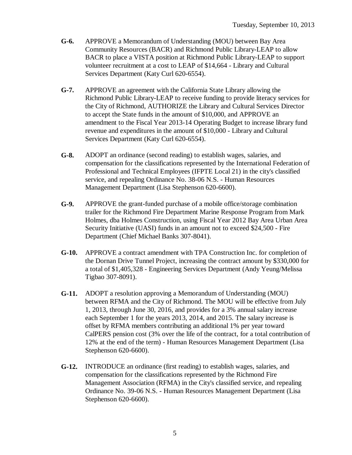- **G-6.** APPROVE a Memorandum of Understanding (MOU) between Bay Area Community Resources (BACR) and Richmond Public Library-LEAP to allow BACR to place a VISTA position at Richmond Public Library-LEAP to support volunteer recruitment at a cost to LEAP of \$14,664 - Library and Cultural Services Department (Katy Curl 620-6554).
- **G-7.** APPROVE an agreement with the California State Library allowing the Richmond Public Library-LEAP to receive funding to provide literacy services for the City of Richmond, AUTHORIZE the Library and Cultural Services Director to accept the State funds in the amount of \$10,000, and APPROVE an amendment to the Fiscal Year 2013-14 Operating Budget to increase library fund revenue and expenditures in the amount of \$10,000 - Library and Cultural Services Department (Katy Curl 620-6554).
- **G-8.** ADOPT an ordinance (second reading) to establish wages, salaries, and compensation for the classifications represented by the International Federation of Professional and Technical Employees (IFPTE Local 21) in the city's classified service, and repealing Ordinance No. 38-06 N.S. - Human Resources Management Department (Lisa Stephenson 620-6600).
- **G-9.** APPROVE the grant-funded purchase of a mobile office/storage combination trailer for the Richmond Fire Department Marine Response Program from Mark Holmes, dba Holmes Construction, using Fiscal Year 2012 Bay Area Urban Area Security Initiative (UASI) funds in an amount not to exceed \$24,500 - Fire Department (Chief Michael Banks 307-8041).
- **G-10.** APPROVE a contract amendment with TPA Construction Inc. for completion of the Dornan Drive Tunnel Project, increasing the contract amount by \$330,000 for a total of \$1,405,328 - Engineering Services Department (Andy Yeung/Melissa Tigbao 307-8091).
- **G-11.** ADOPT a resolution approving a Memorandum of Understanding (MOU) between RFMA and the City of Richmond. The MOU will be effective from July 1, 2013, through June 30, 2016, and provides for a 3% annual salary increase each September 1 for the years 2013, 2014, and 2015. The salary increase is offset by RFMA members contributing an additional 1% per year toward CalPERS pension cost (3% over the life of the contract, for a total contribution of 12% at the end of the term) - Human Resources Management Department (Lisa Stephenson 620-6600).
- **G-12.** INTRODUCE an ordinance (first reading) to establish wages, salaries, and compensation for the classifications represented by the Richmond Fire Management Association (RFMA) in the City's classified service, and repealing Ordinance No. 39-06 N.S. - Human Resources Management Department (Lisa Stephenson 620-6600).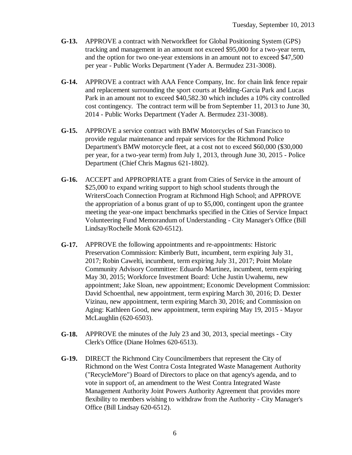- **G-13.** APPROVE a contract with Networkfleet for Global Positioning System (GPS) tracking and management in an amount not exceed \$95,000 for a two-year term, and the option for two one-year extensions in an amount not to exceed \$47,500 per year - Public Works Department (Yader A. Bermudez 231-3008).
- **G-14.** APPROVE a contract with AAA Fence Company, Inc. for chain link fence repair and replacement surrounding the sport courts at Belding-Garcia Park and Lucas Park in an amount not to exceed \$40,582.30 which includes a 10% city controlled cost contingency. The contract term will be from September 11, 2013 to June 30, 2014 - Public Works Department (Yader A. Bermudez 231-3008).
- **G-15.** APPROVE a service contract with BMW Motorcycles of San Francisco to provide regular maintenance and repair services for the Richmond Police Department's BMW motorcycle fleet, at a cost not to exceed \$60,000 (\$30,000 per year, for a two-year term) from July 1, 2013, through June 30, 2015 - Police Department (Chief Chris Magnus 621-1802).
- **G-16.** ACCEPT and APPROPRIATE a grant from Cities of Service in the amount of \$25,000 to expand writing support to high school students through the WritersCoach Connection Program at Richmond High School; and APPROVE the appropriation of a bonus grant of up to \$5,000, contingent upon the grantee meeting the year-one impact benchmarks specified in the Cities of Service Impact Volunteering Fund Memorandum of Understanding - City Manager's Office (Bill Lindsay/Rochelle Monk 620-6512).
- **G-17.** APPROVE the following appointments and re-appointments: Historic Preservation Commission: Kimberly Butt, incumbent, term expiring July 31, 2017; Robin Cawelti, incumbent, term expiring July 31, 2017; Point Molate Community Advisory Committee: Eduardo Martinez, incumbent, term expiring May 30, 2015; Workforce Investment Board: Uche Justin Uwahemu, new appointment; Jake Sloan, new appointment; Economic Development Commission: David Schoenthal, new appointment, term expiring March 30, 2016; D. Dexter Vizinau, new appointment, term expiring March 30, 2016; and Commission on Aging: Kathleen Good, new appointment, term expiring May 19, 2015 - Mayor McLaughlin (620-6503).
- **G-18.** APPROVE the minutes of the July 23 and 30, 2013, special meetings City Clerk's Office (Diane Holmes 620-6513).
- **G-19.** DIRECT the Richmond City Councilmembers that represent the City of Richmond on the West Contra Costa Integrated Waste Management Authority ("RecycleMore") Board of Directors to place on that agency's agenda, and to vote in support of, an amendment to the West Contra Integrated Waste Management Authority Joint Powers Authority Agreement that provides more flexibility to members wishing to withdraw from the Authority - City Manager's Office (Bill Lindsay 620-6512).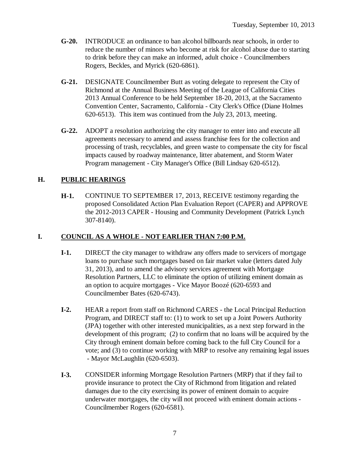- **G-20.** INTRODUCE an ordinance to ban alcohol billboards near schools, in order to reduce the number of minors who become at risk for alcohol abuse due to starting to drink before they can make an informed, adult choice - Councilmembers Rogers, Beckles, and Myrick (620-6861).
- **G-21.** DESIGNATE Councilmember Butt as voting delegate to represent the City of Richmond at the Annual Business Meeting of the League of California Cities 2013 Annual Conference to be held September 18-20, 2013, at the Sacramento Convention Center, Sacramento, California - City Clerk's Office (Diane Holmes 620-6513). This item was continued from the July 23, 2013, meeting.
- **G-22.** ADOPT a resolution authorizing the city manager to enter into and execute all agreements necessary to amend and assess franchise fees for the collection and processing of trash, recyclables, and green waste to compensate the city for fiscal impacts caused by roadway maintenance, litter abatement, and Storm Water Program management - City Manager's Office (Bill Lindsay 620-6512).

#### **H. PUBLIC HEARINGS**

**H-1.** CONTINUE TO SEPTEMBER 17, 2013, RECEIVE testimony regarding the proposed Consolidated Action Plan Evaluation Report (CAPER) and APPROVE the 2012-2013 CAPER - Housing and Community Development (Patrick Lynch 307-8140).

#### **I. COUNCIL AS A WHOLE - NOT EARLIER THAN 7:00 P.M.**

- **I-1.** DIRECT the city manager to withdraw any offers made to servicers of mortgage loans to purchase such mortgages based on fair market value (letters dated July 31, 2013), and to amend the advisory services agreement with Mortgage Resolution Partners, LLC to eliminate the option of utilizing eminent domain as an option to acquire mortgages - Vice Mayor Boozé (620-6593 and Councilmember Bates (620-6743).
- **I-2.** HEAR a report from staff on Richmond CARES the Local Principal Reduction Program, and DIRECT staff to: (1) to work to set up a Joint Powers Authority (JPA) together with other interested municipalities, as a next step forward in the development of this program; (2) to confirm that no loans will be acquired by the City through eminent domain before coming back to the full City Council for a vote; and (3) to continue working with MRP to resolve any remaining legal issues - Mayor McLaughlin (620-6503).
- **I-3.** CONSIDER informing Mortgage Resolution Partners (MRP) that if they fail to provide insurance to protect the City of Richmond from litigation and related damages due to the city exercising its power of eminent domain to acquire underwater mortgages, the city will not proceed with eminent domain actions - Councilmember Rogers (620-6581).